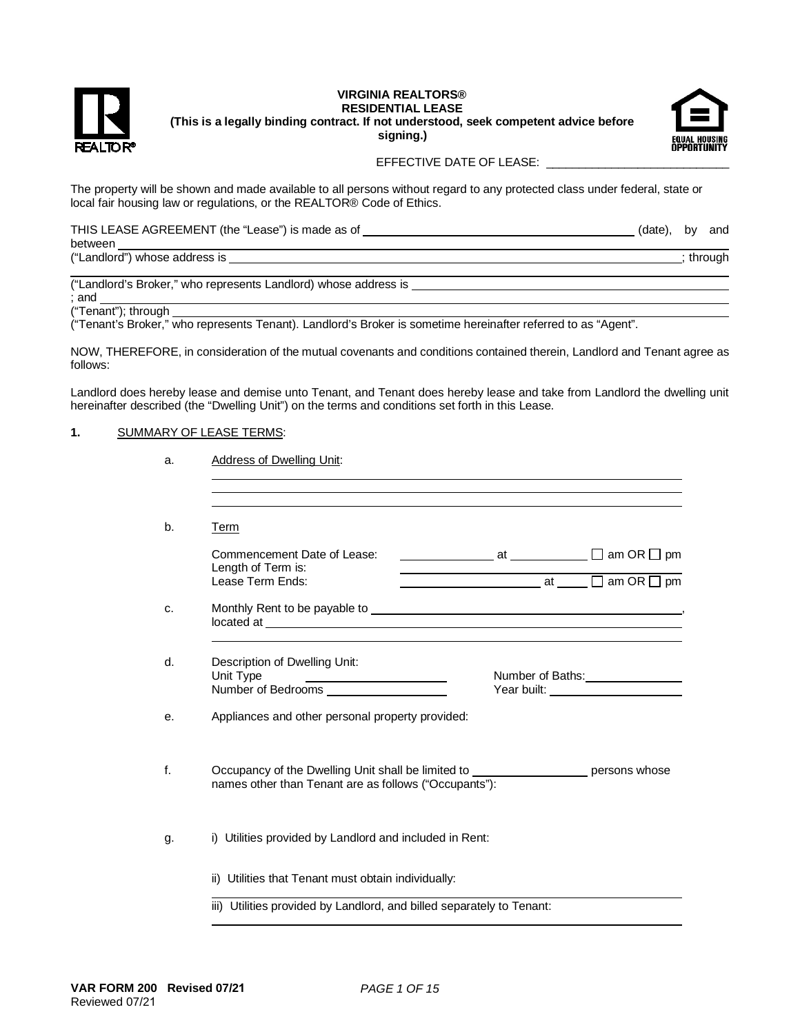

#### **VIRGINIA REALTORS® RESIDENTIAL LEASE (This is a legally binding contract. If not understood, seek competent advice before signing.)**



## EFFECTIVE DATE OF LEASE: \_\_\_\_\_

The property will be shown and made available to all persons without regard to any protected class under federal, state or local fair housing law or regulations, or the REALTOR® Code of Ethics.

| THIS LEASE AGREEMENT (the "Lease") is made as of | (date), | bv | and     |
|--------------------------------------------------|---------|----|---------|
| between                                          |         |    |         |
| ("Landlord") whose address is                    |         |    | through |

("Landlord's Broker," who represents Landlord) whose address is ; and

("Tenant"); through

("Tenant's Broker," who represents Tenant). Landlord's Broker is sometime hereinafter referred to as "Agent".

NOW, THEREFORE, in consideration of the mutual covenants and conditions contained therein, Landlord and Tenant agree as follows:

Landlord does hereby lease and demise unto Tenant, and Tenant does hereby lease and take from Landlord the dwelling unit hereinafter described (the "Dwelling Unit") on the terms and conditions set forth in this Lease.

## **1.** SUMMARY OF LEASE TERMS:

| а. | Address of Dwelling Unit: |  |
|----|---------------------------|--|
|    |                           |  |

| Term                                                                                                                                                                                                                                 |                                                                                                                         |               |
|--------------------------------------------------------------------------------------------------------------------------------------------------------------------------------------------------------------------------------------|-------------------------------------------------------------------------------------------------------------------------|---------------|
| Commencement Date of Lease:                                                                                                                                                                                                          | <u>at an</u> OR □ pm                                                                                                    |               |
| Length of Term is:<br>Lease Term Ends:                                                                                                                                                                                               | <u>Notation and Alexander and Alexander and Alexander and Alexander and Alexander and Alexander and Alexander and A</u> |               |
| Monthly Rent to be payable to <b>contract the contract of the contract of the contract of the contract of the contract of the contract of the contract of the contract of the contract of the contract of the contract of the co</b> |                                                                                                                         |               |
| Description of Dwelling Unit:                                                                                                                                                                                                        |                                                                                                                         |               |
| Unit Type                                                                                                                                                                                                                            | Number of Baths:<br><u> </u>                                                                                            |               |
| Appliances and other personal property provided:                                                                                                                                                                                     |                                                                                                                         |               |
| Occupancy of the Dwelling Unit shall be limited to<br>names other than Tenant are as follows ("Occupants"):                                                                                                                          |                                                                                                                         | persons whose |
| i) Utilities provided by Landlord and included in Rent:                                                                                                                                                                              |                                                                                                                         |               |
| ii) Utilities that Tenant must obtain individually:                                                                                                                                                                                  |                                                                                                                         |               |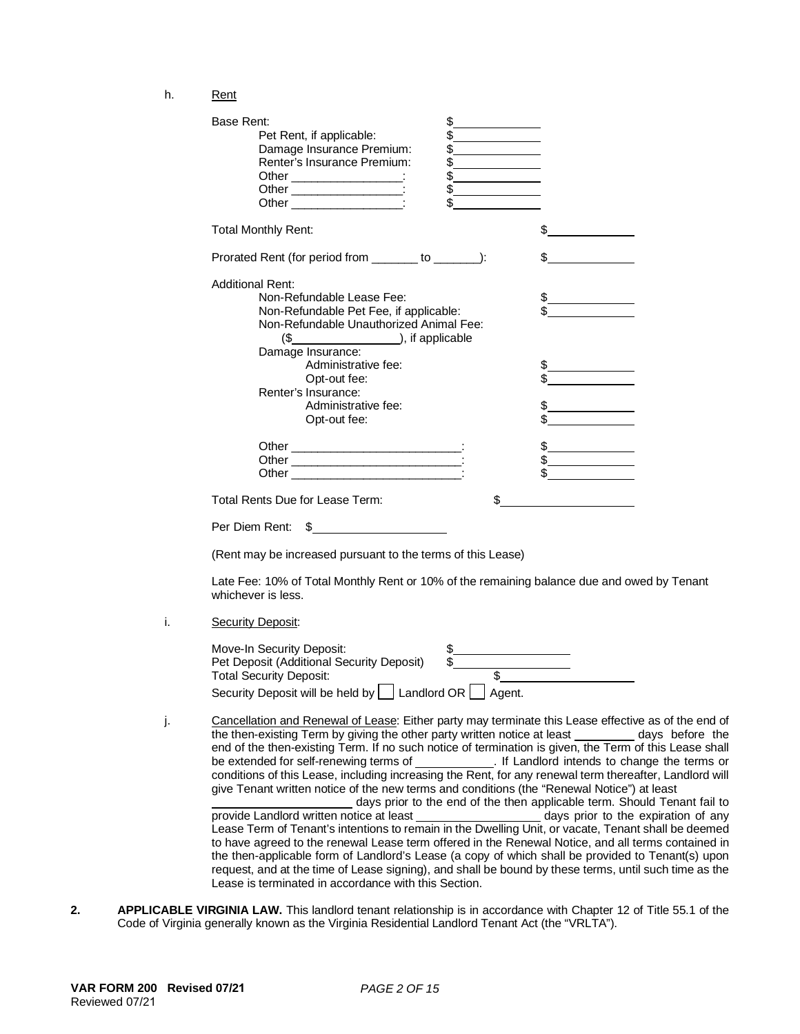h. Rent

| \$<br>Base Rent:<br>\$<br>Pet Rent, if applicable:<br>\$<br>Damage Insurance Premium:<br>Renter's Insurance Premium:<br>$\frac{1}{2}$<br>$\frac{1}{2}$<br>Other _____________________:<br>Other ______________________:<br>$\frac{1}{2}$<br>\$                                       |                                |
|--------------------------------------------------------------------------------------------------------------------------------------------------------------------------------------------------------------------------------------------------------------------------------------|--------------------------------|
| <b>Total Monthly Rent:</b>                                                                                                                                                                                                                                                           |                                |
| Prorated Rent (for period from _______ to _______):                                                                                                                                                                                                                                  |                                |
| <b>Additional Rent:</b><br>Non-Refundable Lease Fee:<br>Non-Refundable Pet Fee, if applicable:<br>Non-Refundable Unauthorized Animal Fee:<br>$(\underline{\$$ ( $\underline{\$}$ ), if applicable<br>Damage Insurance:<br>Administrative fee:<br>Opt-out fee:<br>Renter's Insurance: |                                |
| Administrative fee:<br>Opt-out fee:                                                                                                                                                                                                                                                  |                                |
|                                                                                                                                                                                                                                                                                      | $\frac{1}{2}$<br>$\frac{1}{2}$ |
| Total Rents Due for Lease Term:<br>\$                                                                                                                                                                                                                                                |                                |
| Per Diem Rent:<br>S                                                                                                                                                                                                                                                                  |                                |

(Rent may be increased pursuant to the terms of this Lease)

Late Fee: 10% of Total Monthly Rent or 10% of the remaining balance due and owed by Tenant whichever is less.

i. Security Deposit:

| Move-In Security Deposit:                                         |  |
|-------------------------------------------------------------------|--|
| Pet Deposit (Additional Security Deposit)                         |  |
| <b>Total Security Deposit:</b>                                    |  |
| Security Deposit will be held by $\Box$ Landlord OR $\Box$ Agent. |  |

- j. Cancellation and Renewal of Lease: Either party may terminate this Lease effective as of the end of the then-existing Term by giving the other party written notice at least days before the the then-existing Term by giving the other party written notice at least end of the then-existing Term. If no such notice of termination is given, the Term of this Lease shall<br>be extended for self-renewing terms of [15]. If Landlord intends to change the terms or be extended for self-renewing terms of conditions of this Lease, including increasing the Rent, for any renewal term thereafter, Landlord will give Tenant written notice of the new terms and conditions (the "Renewal Notice") at least days prior to the end of the then applicable term. Should Tenant fail to provide Landlord written notice at least Lease Term of Tenant's intentions to remain in the Dwelling Unit, or vacate, Tenant shall be deemed to have agreed to the renewal Lease term offered in the Renewal Notice, and all terms contained in the then-applicable form of Landlord's Lease (a copy of which shall be provided to Tenant(s) upon request, and at the time of Lease signing), and shall be bound by these terms, until such time as the
- **2. APPLICABLE VIRGINIA LAW.** This landlord tenant relationship is in accordance with Chapter 12 of Title 55.1 of the Code of Virginia generally known as the Virginia Residential Landlord Tenant Act (the "VRLTA").

Lease is terminated in accordance with this Section.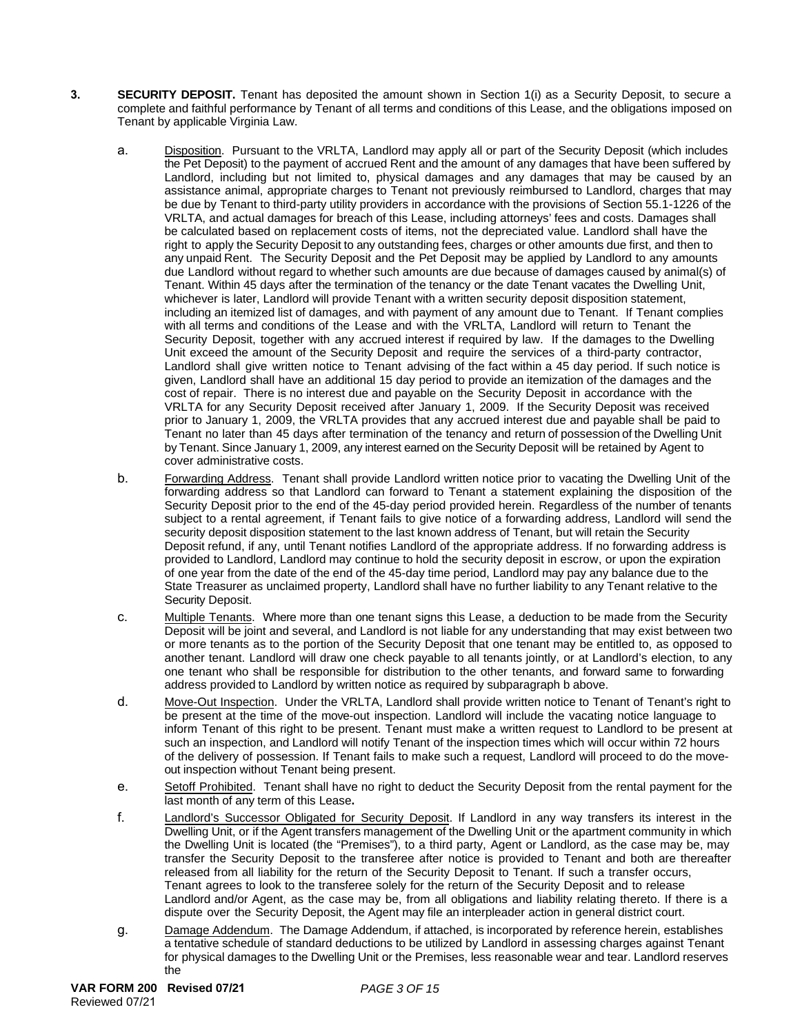- **3. SECURITY DEPOSIT.** Tenant has deposited the amount shown in Section 1(i) as a Security Deposit, to secure a complete and faithful performance by Tenant of all terms and conditions of this Lease, and the obligations imposed on Tenant by applicable Virginia Law.
	- a. Disposition. Pursuant to the VRLTA, Landlord may apply all or part of the Security Deposit (which includes the Pet Deposit) to the payment of accrued Rent and the amount of any damages that have been suffered by Landlord, including but not limited to, physical damages and any damages that may be caused by an assistance animal, appropriate charges to Tenant not previously reimbursed to Landlord, charges that may be due by Tenant to third-party utility providers in accordance with the provisions of Section 55.1-1226 of the VRLTA, and actual damages for breach of this Lease, including attorneys' fees and costs. Damages shall be calculated based on replacement costs of items, not the depreciated value. Landlord shall have the right to apply the Security Deposit to any outstanding fees, charges or other amounts due first, and then to any unpaid Rent. The Security Deposit and the Pet Deposit may be applied by Landlord to any amounts due Landlord without regard to whether such amounts are due because of damages caused by animal(s) of Tenant. Within 45 days after the termination of the tenancy or the date Tenant vacates the Dwelling Unit, whichever is later, Landlord will provide Tenant with a written security deposit disposition statement, including an itemized list of damages, and with payment of any amount due to Tenant. If Tenant complies with all terms and conditions of the Lease and with the VRLTA, Landlord will return to Tenant the Security Deposit, together with any accrued interest if required by law. If the damages to the Dwelling Unit exceed the amount of the Security Deposit and require the services of a third-party contractor, Landlord shall give written notice to Tenant advising of the fact within a 45 day period. If such notice is given, Landlord shall have an additional 15 day period to provide an itemization of the damages and the cost of repair. There is no interest due and payable on the Security Deposit in accordance with the VRLTA for any Security Deposit received after January 1, 2009. If the Security Deposit was received prior to January 1, 2009, the VRLTA provides that any accrued interest due and payable shall be paid to Tenant no later than 45 days after termination of the tenancy and return of possession of the Dwelling Unit by Tenant. Since January 1, 2009, any interest earned on the Security Deposit will be retained by Agent to cover administrative costs.
	- b. Forwarding Address. Tenant shall provide Landlord written notice prior to vacating the Dwelling Unit of the forwarding address so that Landlord can forward to Tenant a statement explaining the disposition of the Security Deposit prior to the end of the 45-day period provided herein. Regardless of the number of tenants subject to a rental agreement, if Tenant fails to give notice of a forwarding address, Landlord will send the security deposit disposition statement to the last known address of Tenant, but will retain the Security Deposit refund, if any, until Tenant notifies Landlord of the appropriate address. If no forwarding address is provided to Landlord, Landlord may continue to hold the security deposit in escrow, or upon the expiration of one year from the date of the end of the 45-day time period, Landlord may pay any balance due to the State Treasurer as unclaimed property, Landlord shall have no further liability to any Tenant relative to the Security Deposit.
	- c. Multiple Tenants. Where more than one tenant signs this Lease, a deduction to be made from the Security Deposit will be joint and several, and Landlord is not liable for any understanding that may exist between two or more tenants as to the portion of the Security Deposit that one tenant may be entitled to, as opposed to another tenant. Landlord will draw one check payable to all tenants jointly, or at Landlord's election, to any one tenant who shall be responsible for distribution to the other tenants, and forward same to forwarding address provided to Landlord by written notice as required by subparagraph b above.
	- d. Move-Out Inspection. Under the VRLTA, Landlord shall provide written notice to Tenant of Tenant's right to be present at the time of the move-out inspection. Landlord will include the vacating notice language to inform Tenant of this right to be present. Tenant must make a written request to Landlord to be present at such an inspection, and Landlord will notify Tenant of the inspection times which will occur within 72 hours of the delivery of possession. If Tenant fails to make such a request, Landlord will proceed to do the moveout inspection without Tenant being present.
	- e. Setoff Prohibited. Tenant shall have no right to deduct the Security Deposit from the rental payment for the last month of any term of this Lease**.**
	- f. Landlord's Successor Obligated for Security Deposit. If Landlord in any way transfers its interest in the Dwelling Unit, or if the Agent transfers management of the Dwelling Unit or the apartment community in which the Dwelling Unit is located (the "Premises"), to a third party, Agent or Landlord, as the case may be, may transfer the Security Deposit to the transferee after notice is provided to Tenant and both are thereafter released from all liability for the return of the Security Deposit to Tenant. If such a transfer occurs, Tenant agrees to look to the transferee solely for the return of the Security Deposit and to release Landlord and/or Agent, as the case may be, from all obligations and liability relating thereto. If there is a dispute over the Security Deposit, the Agent may file an interpleader action in general district court.
	- g. Damage Addendum. The Damage Addendum, if attached, is incorporated by reference herein, establishes a tentative schedule of standard deductions to be utilized by Landlord in assessing charges against Tenant for physical damages to the Dwelling Unit or the Premises, less reasonable wear and tear. Landlord reserves the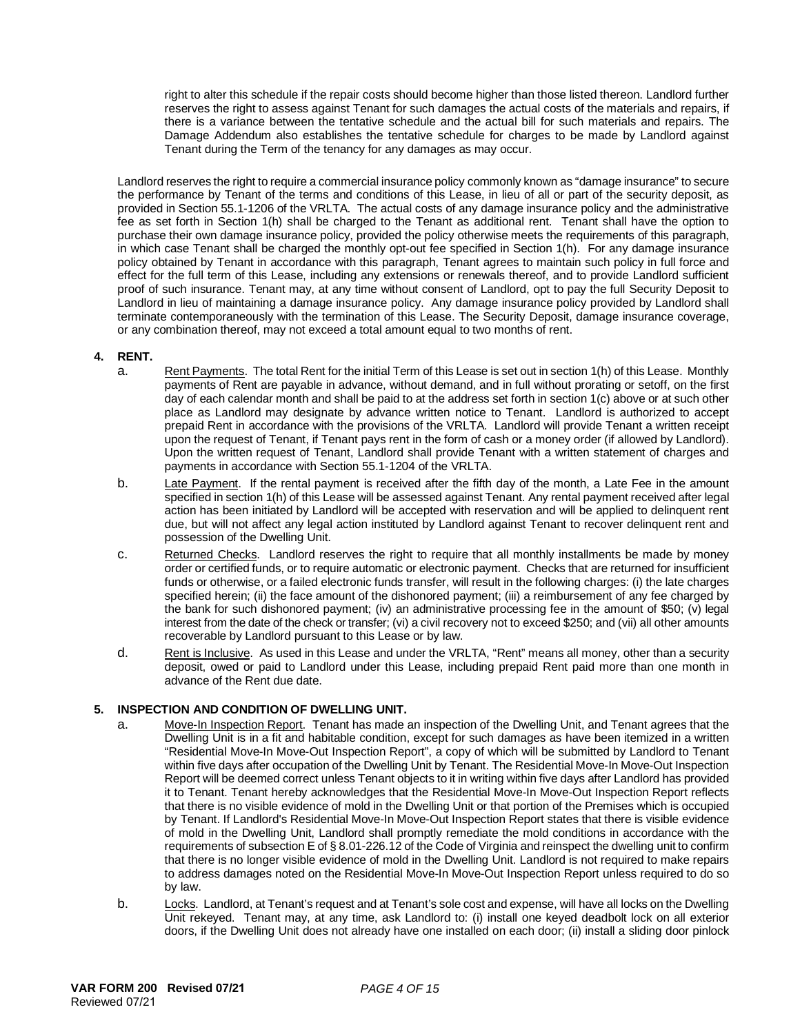right to alter this schedule if the repair costs should become higher than those listed thereon. Landlord further reserves the right to assess against Tenant for such damages the actual costs of the materials and repairs, if there is a variance between the tentative schedule and the actual bill for such materials and repairs. The Damage Addendum also establishes the tentative schedule for charges to be made by Landlord against Tenant during the Term of the tenancy for any damages as may occur.

Landlord reserves the right to require a commercial insurance policy commonly known as "damage insurance" to secure the performance by Tenant of the terms and conditions of this Lease, in lieu of all or part of the security deposit, as provided in Section 55.1-1206 of the VRLTA. The actual costs of any damage insurance policy and the administrative fee as set forth in Section 1(h) shall be charged to the Tenant as additional rent. Tenant shall have the option to purchase their own damage insurance policy, provided the policy otherwise meets the requirements of this paragraph, in which case Tenant shall be charged the monthly opt-out fee specified in Section 1(h). For any damage insurance policy obtained by Tenant in accordance with this paragraph, Tenant agrees to maintain such policy in full force and effect for the full term of this Lease, including any extensions or renewals thereof, and to provide Landlord sufficient proof of such insurance. Tenant may, at any time without consent of Landlord, opt to pay the full Security Deposit to Landlord in lieu of maintaining a damage insurance policy. Any damage insurance policy provided by Landlord shall terminate contemporaneously with the termination of this Lease. The Security Deposit, damage insurance coverage, or any combination thereof, may not exceed a total amount equal to two months of rent.

## **4. RENT.**

- a. Rent Payments. The total Rent for the initial Term of this Lease is set out in section 1(h) of this Lease. Monthly payments of Rent are payable in advance, without demand, and in full without prorating or setoff, on the first day of each calendar month and shall be paid to at the address set forth in section 1(c) above or at such other place as Landlord may designate by advance written notice to Tenant. Landlord is authorized to accept prepaid Rent in accordance with the provisions of the VRLTA. Landlord will provide Tenant a written receipt upon the request of Tenant, if Tenant pays rent in the form of cash or a money order (if allowed by Landlord). Upon the written request of Tenant, Landlord shall provide Tenant with a written statement of charges and payments in accordance with Section 55.1-1204 of the VRLTA.
- b. Late Payment. If the rental payment is received after the fifth day of the month, a Late Fee in the amount specified in section 1(h) of this Lease will be assessed against Tenant. Any rental payment received after legal action has been initiated by Landlord will be accepted with reservation and will be applied to delinquent rent due, but will not affect any legal action instituted by Landlord against Tenant to recover delinquent rent and possession of the Dwelling Unit.
- c. Returned Checks. Landlord reserves the right to require that all monthly installments be made by money order or certified funds, or to require automatic or electronic payment. Checks that are returned for insufficient funds or otherwise, or a failed electronic funds transfer, will result in the following charges: (i) the late charges specified herein; (ii) the face amount of the dishonored payment; (iii) a reimbursement of any fee charged by the bank for such dishonored payment; (iv) an administrative processing fee in the amount of \$50; (v) legal interest from the date of the check or transfer; (vi) a civil recovery not to exceed \$250; and (vii) all other amounts recoverable by Landlord pursuant to this Lease or by law.
- d. Rent is Inclusive. As used in this Lease and under the VRLTA, "Rent" means all money, other than a security deposit, owed or paid to Landlord under this Lease, including prepaid Rent paid more than one month in advance of the Rent due date.

# **5. INSPECTION AND CONDITION OF DWELLING UNIT.**

- a. Move-In Inspection Report. Tenant has made an inspection of the Dwelling Unit, and Tenant agrees that the Dwelling Unit is in a fit and habitable condition, except for such damages as have been itemized in a written "Residential Move-In Move-Out Inspection Report", a copy of which will be submitted by Landlord to Tenant within five days after occupation of the Dwelling Unit by Tenant. The Residential Move-In Move-Out Inspection Report will be deemed correct unless Tenant objects to it in writing within five days after Landlord has provided it to Tenant. Tenant hereby acknowledges that the Residential Move-In Move-Out Inspection Report reflects that there is no visible evidence of mold in the Dwelling Unit or that portion of the Premises which is occupied by Tenant. If Landlord's Residential Move-In Move-Out Inspection Report states that there is visible evidence of mold in the Dwelling Unit, Landlord shall promptly remediate the mold conditions in accordance with the requirements of subsection E of § 8.01-226.12 of the Code of Virginia and reinspect the dwelling unit to confirm that there is no longer visible evidence of mold in the Dwelling Unit. Landlord is not required to make repairs to address damages noted on the Residential Move-In Move-Out Inspection Report unless required to do so by law.
- b. Locks. Landlord, at Tenant's request and at Tenant's sole cost and expense, will have all locks on the Dwelling Unit rekeyed. Tenant may, at any time, ask Landlord to: (i) install one keyed deadbolt lock on all exterior doors, if the Dwelling Unit does not already have one installed on each door; (ii) install a sliding door pinlock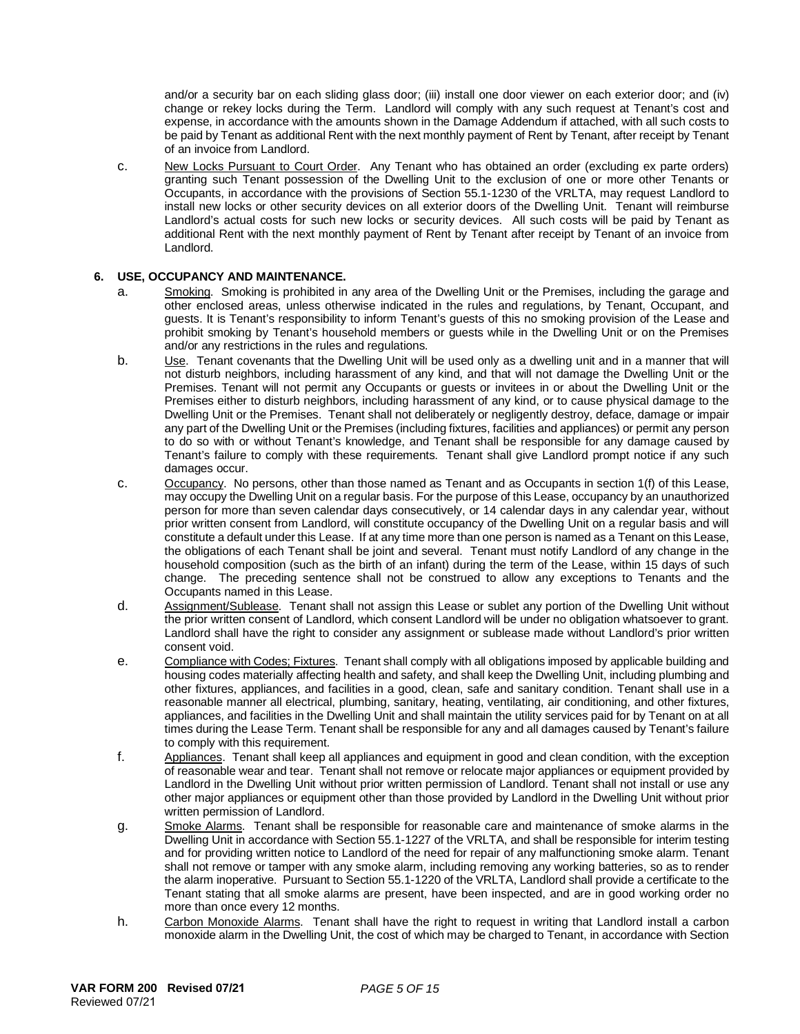and/or a security bar on each sliding glass door; (iii) install one door viewer on each exterior door; and (iv) change or rekey locks during the Term. Landlord will comply with any such request at Tenant's cost and expense, in accordance with the amounts shown in the Damage Addendum if attached, with all such costs to be paid by Tenant as additional Rent with the next monthly payment of Rent by Tenant, after receipt by Tenant of an invoice from Landlord.

c. New Locks Pursuant to Court Order. Any Tenant who has obtained an order (excluding ex parte orders) granting such Tenant possession of the Dwelling Unit to the exclusion of one or more other Tenants or Occupants, in accordance with the provisions of Section 55.1-1230 of the VRLTA, may request Landlord to install new locks or other security devices on all exterior doors of the Dwelling Unit. Tenant will reimburse Landlord's actual costs for such new locks or security devices. All such costs will be paid by Tenant as additional Rent with the next monthly payment of Rent by Tenant after receipt by Tenant of an invoice from Landlord.

## **6. USE, OCCUPANCY AND MAINTENANCE.**

- a. Smoking. Smoking is prohibited in any area of the Dwelling Unit or the Premises, including the garage and other enclosed areas, unless otherwise indicated in the rules and regulations, by Tenant, Occupant, and guests. It is Tenant's responsibility to inform Tenant's guests of this no smoking provision of the Lease and prohibit smoking by Tenant's household members or guests while in the Dwelling Unit or on the Premises and/or any restrictions in the rules and regulations.
- b. Use. Tenant covenants that the Dwelling Unit will be used only as a dwelling unit and in a manner that will not disturb neighbors, including harassment of any kind, and that will not damage the Dwelling Unit or the Premises. Tenant will not permit any Occupants or guests or invitees in or about the Dwelling Unit or the Premises either to disturb neighbors, including harassment of any kind, or to cause physical damage to the Dwelling Unit or the Premises. Tenant shall not deliberately or negligently destroy, deface, damage or impair any part of the Dwelling Unit or the Premises (including fixtures, facilities and appliances) or permit any person to do so with or without Tenant's knowledge, and Tenant shall be responsible for any damage caused by Tenant's failure to comply with these requirements. Tenant shall give Landlord prompt notice if any such damages occur.
- c. Occupancy. No persons, other than those named as Tenant and as Occupants in section 1(f) of this Lease, may occupy the Dwelling Unit on a regular basis. For the purpose of this Lease, occupancy by an unauthorized person for more than seven calendar days consecutively, or 14 calendar days in any calendar year, without prior written consent from Landlord, will constitute occupancy of the Dwelling Unit on a regular basis and will constitute a default under this Lease. If at any time more than one person is named as a Tenant on this Lease, the obligations of each Tenant shall be joint and several. Tenant must notify Landlord of any change in the household composition (such as the birth of an infant) during the term of the Lease, within 15 days of such change. The preceding sentence shall not be construed to allow any exceptions to Tenants and the Occupants named in this Lease.
- d. Assignment/Sublease. Tenant shall not assign this Lease or sublet any portion of the Dwelling Unit without the prior written consent of Landlord, which consent Landlord will be under no obligation whatsoever to grant. Landlord shall have the right to consider any assignment or sublease made without Landlord's prior written consent void.
- e. Compliance with Codes; Fixtures. Tenant shall comply with all obligations imposed by applicable building and housing codes materially affecting health and safety, and shall keep the Dwelling Unit, including plumbing and other fixtures, appliances, and facilities in a good, clean, safe and sanitary condition. Tenant shall use in a reasonable manner all electrical, plumbing, sanitary, heating, ventilating, air conditioning, and other fixtures, appliances, and facilities in the Dwelling Unit and shall maintain the utility services paid for by Tenant on at all times during the Lease Term. Tenant shall be responsible for any and all damages caused by Tenant's failure to comply with this requirement.
- f. Appliances. Tenant shall keep all appliances and equipment in good and clean condition, with the exception of reasonable wear and tear. Tenant shall not remove or relocate major appliances or equipment provided by Landlord in the Dwelling Unit without prior written permission of Landlord. Tenant shall not install or use any other major appliances or equipment other than those provided by Landlord in the Dwelling Unit without prior written permission of Landlord.
- g. Smoke Alarms. Tenant shall be responsible for reasonable care and maintenance of smoke alarms in the Dwelling Unit in accordance with Section 55.1-1227 of the VRLTA, and shall be responsible for interim testing and for providing written notice to Landlord of the need for repair of any malfunctioning smoke alarm. Tenant shall not remove or tamper with any smoke alarm, including removing any working batteries, so as to render the alarm inoperative. Pursuant to Section 55.1-1220 of the VRLTA, Landlord shall provide a certificate to the Tenant stating that all smoke alarms are present, have been inspected, and are in good working order no more than once every 12 months.
- h. Carbon Monoxide Alarms. Tenant shall have the right to request in writing that Landlord install a carbon monoxide alarm in the Dwelling Unit, the cost of which may be charged to Tenant, in accordance with Section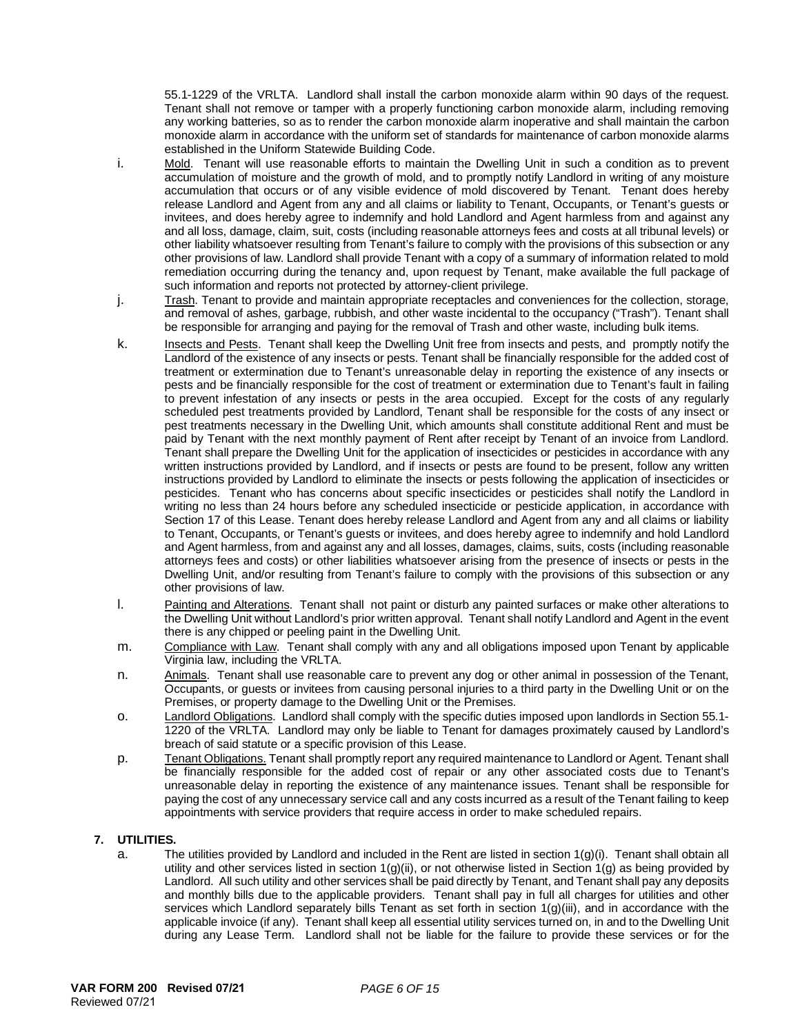55.1-1229 of the VRLTA. Landlord shall install the carbon monoxide alarm within 90 days of the request. Tenant shall not remove or tamper with a properly functioning carbon monoxide alarm, including removing any working batteries, so as to render the carbon monoxide alarm inoperative and shall maintain the carbon monoxide alarm in accordance with the uniform set of standards for maintenance of carbon monoxide alarms established in the Uniform Statewide Building Code.

- i. Mold. Tenant will use reasonable efforts to maintain the Dwelling Unit in such a condition as to prevent accumulation of moisture and the growth of mold, and to promptly notify Landlord in writing of any moisture accumulation that occurs or of any visible evidence of mold discovered by Tenant. Tenant does hereby release Landlord and Agent from any and all claims or liability to Tenant, Occupants, or Tenant's guests or invitees, and does hereby agree to indemnify and hold Landlord and Agent harmless from and against any and all loss, damage, claim, suit, costs (including reasonable attorneys fees and costs at all tribunal levels) or other liability whatsoever resulting from Tenant's failure to comply with the provisions of this subsection or any other provisions of law. Landlord shall provide Tenant with a copy of a summary of information related to mold remediation occurring during the tenancy and, upon request by Tenant, make available the full package of such information and reports not protected by attorney-client privilege.
- j. Trash. Tenant to provide and maintain appropriate receptacles and conveniences for the collection, storage, and removal of ashes, garbage, rubbish, and other waste incidental to the occupancy ("Trash"). Tenant shall be responsible for arranging and paying for the removal of Trash and other waste, including bulk items.
- k. Insects and Pests. Tenant shall keep the Dwelling Unit free from insects and pests, and promptly notify the Landlord of the existence of any insects or pests. Tenant shall be financially responsible for the added cost of treatment or extermination due to Tenant's unreasonable delay in reporting the existence of any insects or pests and be financially responsible for the cost of treatment or extermination due to Tenant's fault in failing to prevent infestation of any insects or pests in the area occupied. Except for the costs of any regularly scheduled pest treatments provided by Landlord, Tenant shall be responsible for the costs of any insect or pest treatments necessary in the Dwelling Unit, which amounts shall constitute additional Rent and must be paid by Tenant with the next monthly payment of Rent after receipt by Tenant of an invoice from Landlord. Tenant shall prepare the Dwelling Unit for the application of insecticides or pesticides in accordance with any written instructions provided by Landlord, and if insects or pests are found to be present, follow any written instructions provided by Landlord to eliminate the insects or pests following the application of insecticides or pesticides. Tenant who has concerns about specific insecticides or pesticides shall notify the Landlord in writing no less than 24 hours before any scheduled insecticide or pesticide application, in accordance with Section 17 of this Lease. Tenant does hereby release Landlord and Agent from any and all claims or liability to Tenant, Occupants, or Tenant's guests or invitees, and does hereby agree to indemnify and hold Landlord and Agent harmless, from and against any and all losses, damages, claims, suits, costs (including reasonable attorneys fees and costs) or other liabilities whatsoever arising from the presence of insects or pests in the Dwelling Unit, and/or resulting from Tenant's failure to comply with the provisions of this subsection or any other provisions of law.
- l. Painting and Alterations. Tenant shall not paint or disturb any painted surfaces or make other alterations to the Dwelling Unit without Landlord's prior written approval. Tenant shall notify Landlord and Agent in the event there is any chipped or peeling paint in the Dwelling Unit.
- m. Compliance with Law. Tenant shall comply with any and all obligations imposed upon Tenant by applicable Virginia law, including the VRLTA.
- n. Animals. Tenant shall use reasonable care to prevent any dog or other animal in possession of the Tenant, Occupants, or guests or invitees from causing personal injuries to a third party in the Dwelling Unit or on the Premises, or property damage to the Dwelling Unit or the Premises.
- o. Landlord Obligations. Landlord shall comply with the specific duties imposed upon landlords in Section 55.1- 1220 of the VRLTA. Landlord may only be liable to Tenant for damages proximately caused by Landlord's breach of said statute or a specific provision of this Lease.
- p. Tenant Obligations. Tenant shall promptly report any required maintenance to Landlord or Agent. Tenant shall be financially responsible for the added cost of repair or any other associated costs due to Tenant's unreasonable delay in reporting the existence of any maintenance issues. Tenant shall be responsible for paying the cost of any unnecessary service call and any costs incurred as a result of the Tenant failing to keep appointments with service providers that require access in order to make scheduled repairs.

# **7. UTILITIES.**

a. The utilities provided by Landlord and included in the Rent are listed in section  $1(g)(i)$ . Tenant shall obtain all utility and other services listed in section  $1(g)(ii)$ , or not otherwise listed in Section  $1(g)$  as being provided by Landlord. All such utility and other services shall be paid directly by Tenant, and Tenant shall pay any deposits and monthly bills due to the applicable providers. Tenant shall pay in full all charges for utilities and other services which Landlord separately bills Tenant as set forth in section 1(g)(iii), and in accordance with the applicable invoice (if any). Tenant shall keep all essential utility services turned on, in and to the Dwelling Unit during any Lease Term. Landlord shall not be liable for the failure to provide these services or for the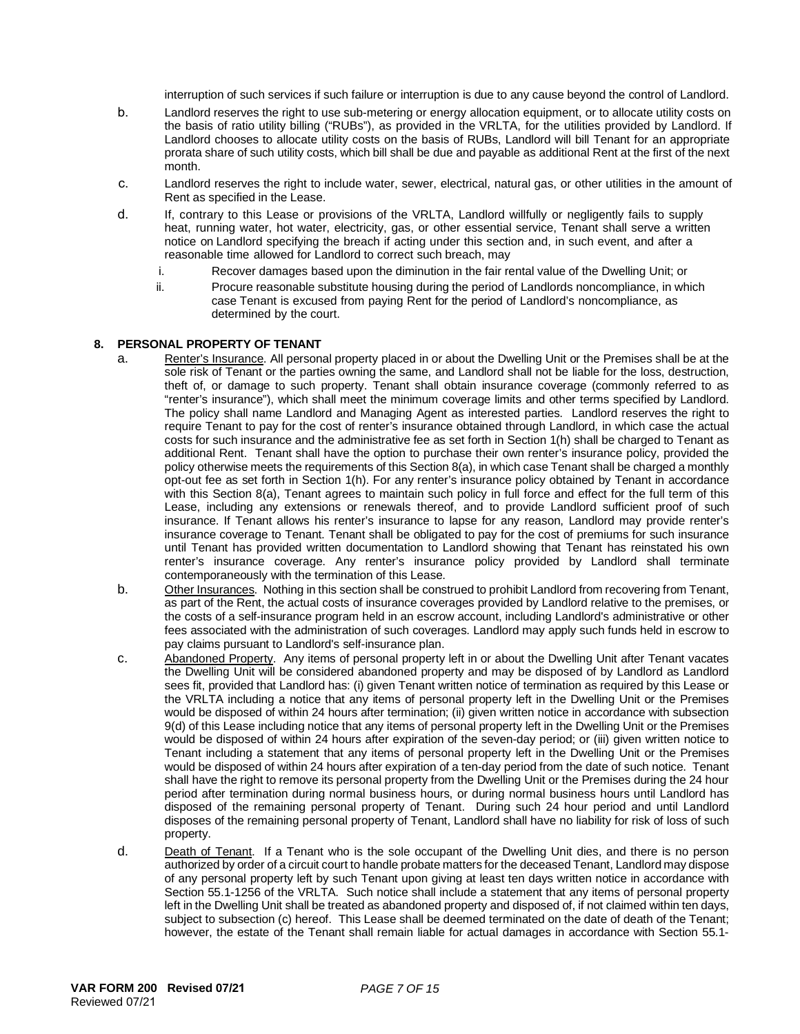interruption of such services if such failure or interruption is due to any cause beyond the control of Landlord.

- b. Landlord reserves the right to use sub-metering or energy allocation equipment, or to allocate utility costs on the basis of ratio utility billing ("RUBs"), as provided in the VRLTA, for the utilities provided by Landlord. If Landlord chooses to allocate utility costs on the basis of RUBs, Landlord will bill Tenant for an appropriate prorata share of such utility costs, which bill shall be due and payable as additional Rent at the first of the next month.
- c. Landlord reserves the right to include water, sewer, electrical, natural gas, or other utilities in the amount of Rent as specified in the Lease.
- d. If, contrary to this Lease or provisions of the VRLTA, Landlord willfully or negligently fails to supply heat, running water, hot water, electricity, gas, or other essential service, Tenant shall serve a written notice on Landlord specifying the breach if acting under this section and, in such event, and after a reasonable time allowed for Landlord to correct such breach, may
	- i. Recover damages based upon the diminution in the fair rental value of the Dwelling Unit; or
	- ii. Procure reasonable substitute housing during the period of Landlords noncompliance, in which case Tenant is excused from paying Rent for the period of Landlord's noncompliance, as determined by the court.

### **8. PERSONAL PROPERTY OF TENANT**

- a. Renter's Insurance. All personal property placed in or about the Dwelling Unit or the Premises shall be at the sole risk of Tenant or the parties owning the same, and Landlord shall not be liable for the loss, destruction, theft of, or damage to such property. Tenant shall obtain insurance coverage (commonly referred to as "renter's insurance"), which shall meet the minimum coverage limits and other terms specified by Landlord. The policy shall name Landlord and Managing Agent as interested parties. Landlord reserves the right to require Tenant to pay for the cost of renter's insurance obtained through Landlord, in which case the actual costs for such insurance and the administrative fee as set forth in Section 1(h) shall be charged to Tenant as additional Rent. Tenant shall have the option to purchase their own renter's insurance policy, provided the policy otherwise meets the requirements of this Section 8(a), in which case Tenant shall be charged a monthly opt-out fee as set forth in Section 1(h). For any renter's insurance policy obtained by Tenant in accordance with this Section 8(a), Tenant agrees to maintain such policy in full force and effect for the full term of this Lease, including any extensions or renewals thereof, and to provide Landlord sufficient proof of such insurance. If Tenant allows his renter's insurance to lapse for any reason, Landlord may provide renter's insurance coverage to Tenant. Tenant shall be obligated to pay for the cost of premiums for such insurance until Tenant has provided written documentation to Landlord showing that Tenant has reinstated his own renter's insurance coverage. Any renter's insurance policy provided by Landlord shall terminate contemporaneously with the termination of this Lease.
- b. Other Insurances. Nothing in this section shall be construed to prohibit Landlord from recovering from Tenant, as part of the Rent, the actual costs of insurance coverages provided by Landlord relative to the premises, or the costs of a self-insurance program held in an escrow account, including Landlord's administrative or other fees associated with the administration of such coverages. Landlord may apply such funds held in escrow to pay claims pursuant to Landlord's self-insurance plan.
- c. Abandoned Property. Any items of personal property left in or about the Dwelling Unit after Tenant vacates the Dwelling Unit will be considered abandoned property and may be disposed of by Landlord as Landlord sees fit, provided that Landlord has: (i) given Tenant written notice of termination as required by this Lease or the VRLTA including a notice that any items of personal property left in the Dwelling Unit or the Premises would be disposed of within 24 hours after termination; (ii) given written notice in accordance with subsection 9(d) of this Lease including notice that any items of personal property left in the Dwelling Unit or the Premises would be disposed of within 24 hours after expiration of the seven-day period; or (iii) given written notice to Tenant including a statement that any items of personal property left in the Dwelling Unit or the Premises would be disposed of within 24 hours after expiration of a ten-day period from the date of such notice. Tenant shall have the right to remove its personal property from the Dwelling Unit or the Premises during the 24 hour period after termination during normal business hours, or during normal business hours until Landlord has disposed of the remaining personal property of Tenant. During such 24 hour period and until Landlord disposes of the remaining personal property of Tenant, Landlord shall have no liability for risk of loss of such property.
- d. Death of Tenant. If a Tenant who is the sole occupant of the Dwelling Unit dies, and there is no person authorized by order of a circuit court to handle probate matters for the deceased Tenant, Landlord may dispose of any personal property left by such Tenant upon giving at least ten days written notice in accordance with Section 55.1-1256 of the VRLTA. Such notice shall include a statement that any items of personal property left in the Dwelling Unit shall be treated as abandoned property and disposed of, if not claimed within ten days, subject to subsection (c) hereof. This Lease shall be deemed terminated on the date of death of the Tenant; however, the estate of the Tenant shall remain liable for actual damages in accordance with Section 55.1-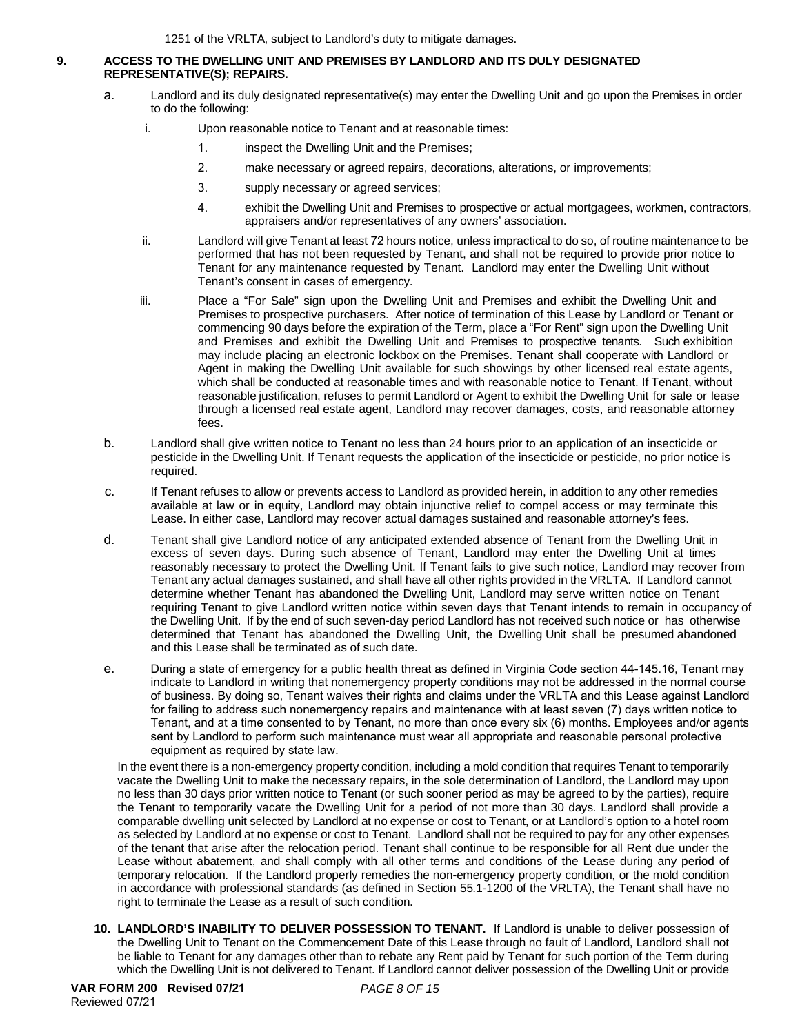## **9. ACCESS TO THE DWELLING UNIT AND PREMISES BY LANDLORD AND ITS DULY DESIGNATED REPRESENTATIVE(S); REPAIRS.**

- a. Landlord and its duly designated representative(s) may enter the Dwelling Unit and go upon the Premises in order to do the following:
	- i. Upon reasonable notice to Tenant and at reasonable times:
		- 1. inspect the Dwelling Unit and the Premises;
		- 2. make necessary or agreed repairs, decorations, alterations, or improvements;
		- 3. supply necessary or agreed services;
		- 4. exhibit the Dwelling Unit and Premises to prospective or actual mortgagees, workmen, contractors, appraisers and/or representatives of any owners' association.
	- ii. Landlord will give Tenant at least 72 hours notice, unless impractical to do so, of routine maintenance to be performed that has not been requested by Tenant, and shall not be required to provide prior notice to Tenant for any maintenance requested by Tenant. Landlord may enter the Dwelling Unit without Tenant's consent in cases of emergency.
	- iii. Place a "For Sale" sign upon the Dwelling Unit and Premises and exhibit the Dwelling Unit and Premises to prospective purchasers. After notice of termination of this Lease by Landlord or Tenant or commencing 90 days before the expiration of the Term, place a "For Rent" sign upon the Dwelling Unit and Premises and exhibit the Dwelling Unit and Premises to prospective tenants. Such exhibition may include placing an electronic lockbox on the Premises. Tenant shall cooperate with Landlord or Agent in making the Dwelling Unit available for such showings by other licensed real estate agents, which shall be conducted at reasonable times and with reasonable notice to Tenant. If Tenant, without reasonable justification, refuses to permit Landlord or Agent to exhibit the Dwelling Unit for sale or lease through a licensed real estate agent, Landlord may recover damages, costs, and reasonable attorney fees.
- b. Landlord shall give written notice to Tenant no less than 24 hours prior to an application of an insecticide or pesticide in the Dwelling Unit. If Tenant requests the application of the insecticide or pesticide, no prior notice is required.
- c. If Tenant refuses to allow or prevents access to Landlord as provided herein, in addition to any other remedies available at law or in equity, Landlord may obtain injunctive relief to compel access or may terminate this Lease. In either case, Landlord may recover actual damages sustained and reasonable attorney's fees.
- d. Tenant shall give Landlord notice of any anticipated extended absence of Tenant from the Dwelling Unit in excess of seven days. During such absence of Tenant, Landlord may enter the Dwelling Unit at times reasonably necessary to protect the Dwelling Unit. If Tenant fails to give such notice, Landlord may recover from Tenant any actual damages sustained, and shall have all other rights provided in the VRLTA. If Landlord cannot determine whether Tenant has abandoned the Dwelling Unit, Landlord may serve written notice on Tenant requiring Tenant to give Landlord written notice within seven days that Tenant intends to remain in occupancy of the Dwelling Unit. If by the end of such seven-day period Landlord has not received such notice or has otherwise determined that Tenant has abandoned the Dwelling Unit, the Dwelling Unit shall be presumed abandoned and this Lease shall be terminated as of such date.
- e. During a state of emergency for a public health threat as defined in Virginia Code section 44-145.16, Tenant may indicate to Landlord in writing that nonemergency property conditions may not be addressed in the normal course of business. By doing so, Tenant waives their rights and claims under the VRLTA and this Lease against Landlord for failing to address such nonemergency repairs and maintenance with at least seven (7) days written notice to Tenant, and at a time consented to by Tenant, no more than once every six (6) months. Employees and/or agents sent by Landlord to perform such maintenance must wear all appropriate and reasonable personal protective equipment as required by state law.

In the event there is a non-emergency property condition, including a mold condition that requires Tenant to temporarily vacate the Dwelling Unit to make the necessary repairs, in the sole determination of Landlord, the Landlord may upon no less than 30 days prior written notice to Tenant (or such sooner period as may be agreed to by the parties), require the Tenant to temporarily vacate the Dwelling Unit for a period of not more than 30 days. Landlord shall provide a comparable dwelling unit selected by Landlord at no expense or cost to Tenant, or at Landlord's option to a hotel room as selected by Landlord at no expense or cost to Tenant. Landlord shall not be required to pay for any other expenses of the tenant that arise after the relocation period. Tenant shall continue to be responsible for all Rent due under the Lease without abatement, and shall comply with all other terms and conditions of the Lease during any period of temporary relocation. If the Landlord properly remedies the non-emergency property condition, or the mold condition in accordance with professional standards (as defined in Section 55.1-1200 of the VRLTA), the Tenant shall have no right to terminate the Lease as a result of such condition.

**10. LANDLORD'S INABILITY TO DELIVER POSSESSION TO TENANT.** If Landlord is unable to deliver possession of the Dwelling Unit to Tenant on the Commencement Date of this Lease through no fault of Landlord, Landlord shall not be liable to Tenant for any damages other than to rebate any Rent paid by Tenant for such portion of the Term during which the Dwelling Unit is not delivered to Tenant. If Landlord cannot deliver possession of the Dwelling Unit or provide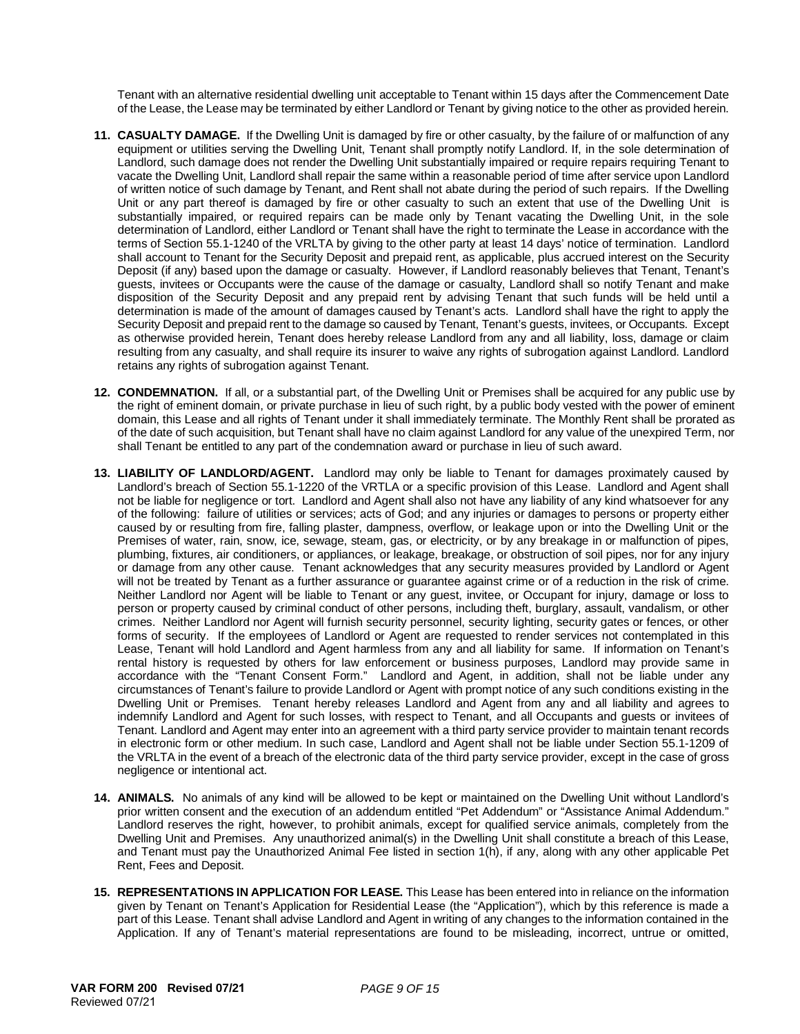Tenant with an alternative residential dwelling unit acceptable to Tenant within 15 days after the Commencement Date of the Lease, the Lease may be terminated by either Landlord or Tenant by giving notice to the other as provided herein.

- **11. CASUALTY DAMAGE.** If the Dwelling Unit is damaged by fire or other casualty, by the failure of or malfunction of any equipment or utilities serving the Dwelling Unit, Tenant shall promptly notify Landlord. If, in the sole determination of Landlord, such damage does not render the Dwelling Unit substantially impaired or require repairs requiring Tenant to vacate the Dwelling Unit, Landlord shall repair the same within a reasonable period of time after service upon Landlord of written notice of such damage by Tenant, and Rent shall not abate during the period of such repairs. If the Dwelling Unit or any part thereof is damaged by fire or other casualty to such an extent that use of the Dwelling Unit is substantially impaired, or required repairs can be made only by Tenant vacating the Dwelling Unit, in the sole determination of Landlord, either Landlord or Tenant shall have the right to terminate the Lease in accordance with the terms of Section 55.1-1240 of the VRLTA by giving to the other party at least 14 days' notice of termination. Landlord shall account to Tenant for the Security Deposit and prepaid rent, as applicable, plus accrued interest on the Security Deposit (if any) based upon the damage or casualty. However, if Landlord reasonably believes that Tenant, Tenant's guests, invitees or Occupants were the cause of the damage or casualty, Landlord shall so notify Tenant and make disposition of the Security Deposit and any prepaid rent by advising Tenant that such funds will be held until a determination is made of the amount of damages caused by Tenant's acts. Landlord shall have the right to apply the Security Deposit and prepaid rent to the damage so caused by Tenant, Tenant's guests, invitees, or Occupants. Except as otherwise provided herein, Tenant does hereby release Landlord from any and all liability, loss, damage or claim resulting from any casualty, and shall require its insurer to waive any rights of subrogation against Landlord. Landlord retains any rights of subrogation against Tenant.
- **12. CONDEMNATION.** If all, or a substantial part, of the Dwelling Unit or Premises shall be acquired for any public use by the right of eminent domain, or private purchase in lieu of such right, by a public body vested with the power of eminent domain, this Lease and all rights of Tenant under it shall immediately terminate. The Monthly Rent shall be prorated as of the date of such acquisition, but Tenant shall have no claim against Landlord for any value of the unexpired Term, nor shall Tenant be entitled to any part of the condemnation award or purchase in lieu of such award.
- **13. LIABILITY OF LANDLORD/AGENT.** Landlord may only be liable to Tenant for damages proximately caused by Landlord's breach of Section 55.1-1220 of the VRTLA or a specific provision of this Lease. Landlord and Agent shall not be liable for negligence or tort. Landlord and Agent shall also not have any liability of any kind whatsoever for any of the following: failure of utilities or services; acts of God; and any injuries or damages to persons or property either caused by or resulting from fire, falling plaster, dampness, overflow, or leakage upon or into the Dwelling Unit or the Premises of water, rain, snow, ice, sewage, steam, gas, or electricity, or by any breakage in or malfunction of pipes, plumbing, fixtures, air conditioners, or appliances, or leakage, breakage, or obstruction of soil pipes, nor for any injury or damage from any other cause. Tenant acknowledges that any security measures provided by Landlord or Agent will not be treated by Tenant as a further assurance or guarantee against crime or of a reduction in the risk of crime. Neither Landlord nor Agent will be liable to Tenant or any guest, invitee, or Occupant for injury, damage or loss to person or property caused by criminal conduct of other persons, including theft, burglary, assault, vandalism, or other crimes. Neither Landlord nor Agent will furnish security personnel, security lighting, security gates or fences, or other forms of security. If the employees of Landlord or Agent are requested to render services not contemplated in this Lease, Tenant will hold Landlord and Agent harmless from any and all liability for same. If information on Tenant's rental history is requested by others for law enforcement or business purposes, Landlord may provide same in accordance with the "Tenant Consent Form." Landlord and Agent, in addition, shall not be liable under any circumstances of Tenant's failure to provide Landlord or Agent with prompt notice of any such conditions existing in the Dwelling Unit or Premises. Tenant hereby releases Landlord and Agent from any and all liability and agrees to indemnify Landlord and Agent for such losses, with respect to Tenant, and all Occupants and guests or invitees of Tenant. Landlord and Agent may enter into an agreement with a third party service provider to maintain tenant records in electronic form or other medium. In such case, Landlord and Agent shall not be liable under Section 55.1-1209 of the VRLTA in the event of a breach of the electronic data of the third party service provider, except in the case of gross negligence or intentional act.
- **14. ANIMALS.** No animals of any kind will be allowed to be kept or maintained on the Dwelling Unit without Landlord's prior written consent and the execution of an addendum entitled "Pet Addendum" or "Assistance Animal Addendum." Landlord reserves the right, however, to prohibit animals, except for qualified service animals, completely from the Dwelling Unit and Premises. Any unauthorized animal(s) in the Dwelling Unit shall constitute a breach of this Lease, and Tenant must pay the Unauthorized Animal Fee listed in section 1(h), if any, along with any other applicable Pet Rent, Fees and Deposit.
- **15. REPRESENTATIONS IN APPLICATION FOR LEASE.** This Lease has been entered into in reliance on the information given by Tenant on Tenant's Application for Residential Lease (the "Application"), which by this reference is made a part of this Lease. Tenant shall advise Landlord and Agent in writing of any changes to the information contained in the Application. If any of Tenant's material representations are found to be misleading, incorrect, untrue or omitted,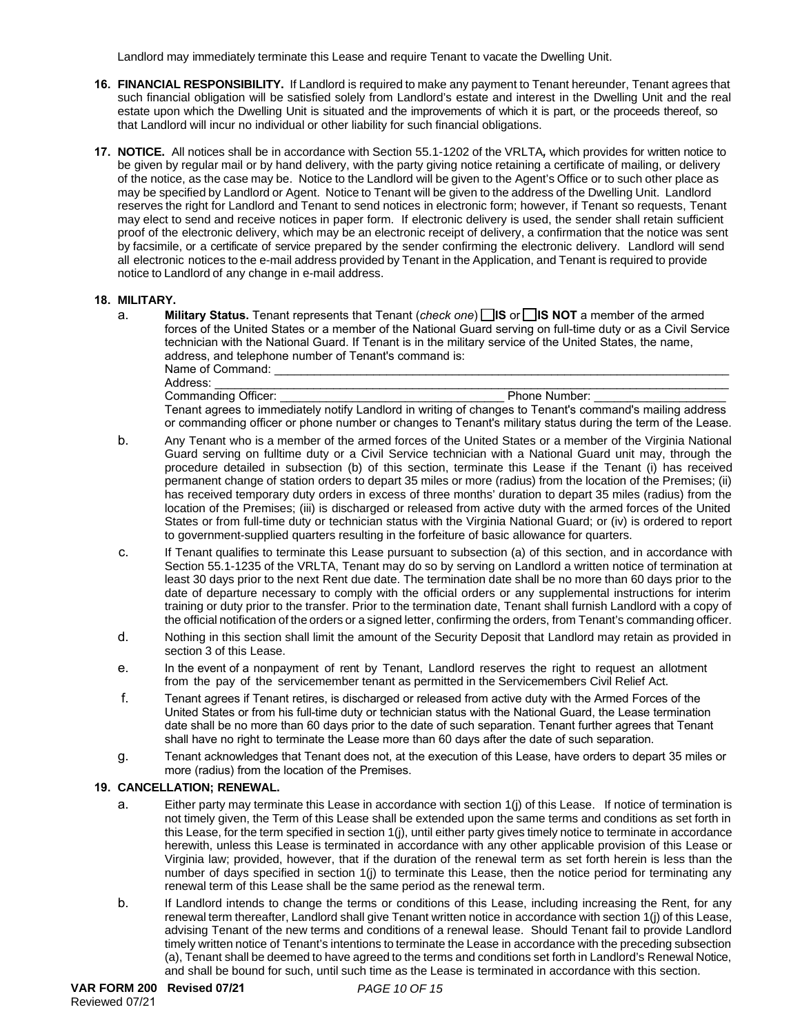Landlord may immediately terminate this Lease and require Tenant to vacate the Dwelling Unit.

- **16. FINANCIAL RESPONSIBILITY.** If Landlord is required to make any payment to Tenant hereunder, Tenant agrees that such financial obligation will be satisfied solely from Landlord's estate and interest in the Dwelling Unit and the real estate upon which the Dwelling Unit is situated and the improvements of which it is part, or the proceeds thereof, so that Landlord will incur no individual or other liability for such financial obligations.
- **17. NOTICE.** All notices shall be in accordance with Section 55.1-1202 of the VRLTA*,* which provides for written notice to be given by regular mail or by hand delivery, with the party giving notice retaining a certificate of mailing, or delivery of the notice, as the case may be. Notice to the Landlord will be given to the Agent's Office or to such other place as may be specified by Landlord or Agent. Notice to Tenant will be given to the address of the Dwelling Unit. Landlord reserves the right for Landlord and Tenant to send notices in electronic form; however, if Tenant so requests, Tenant may elect to send and receive notices in paper form. If electronic delivery is used, the sender shall retain sufficient proof of the electronic delivery, which may be an electronic receipt of delivery, a confirmation that the notice was sent by facsimile, or a certificate of service prepared by the sender confirming the electronic delivery. Landlord will send all electronic notices to the e-mail address provided by Tenant in the Application, and Tenant is required to provide notice to Landlord of any change in e-mail address.

### **18. MILITARY.**

a. **Military Status.** Tenant represents that Tenant (*check one*) **IS** or **IS NOT** a member of the armed forces of the United States or a member of the National Guard serving on full-time duty or as a Civil Service technician with the National Guard. If Tenant is in the military service of the United States, the name, address, and telephone number of Tenant's command is:

Name of Command:<br>Address: Address: \_\_\_\_\_\_\_\_\_\_\_\_\_\_\_\_\_\_\_\_\_\_\_\_\_\_\_\_\_\_\_\_\_\_\_\_\_\_\_\_\_\_\_\_\_\_\_\_\_\_\_\_\_\_\_\_\_\_\_\_\_\_\_\_\_\_\_\_\_\_\_\_\_\_\_\_\_\_ Commanding Officer: example of the state of the Phone Number:

Tenant agrees to immediately notify Landlord in writing of changes to Tenant's command's mailing address or commanding officer or phone number or changes to Tenant's military status during the term of the Lease.

- b. Any Tenant who is a member of the armed forces of the United States or a member of the Virginia National Guard serving on fulltime duty or a Civil Service technician with a National Guard unit may, through the procedure detailed in subsection (b) of this section, terminate this Lease if the Tenant (i) has received permanent change of station orders to depart 35 miles or more (radius) from the location of the Premises; (ii) has received temporary duty orders in excess of three months' duration to depart 35 miles (radius) from the location of the Premises; (iii) is discharged or released from active duty with the armed forces of the United States or from full-time duty or technician status with the Virginia National Guard; or (iv) is ordered to report to government-supplied quarters resulting in the forfeiture of basic allowance for quarters.
- c. If Tenant qualifies to terminate this Lease pursuant to subsection (a) of this section, and in accordance with Section 55.1-1235 of the VRLTA, Tenant may do so by serving on Landlord a written notice of termination at least 30 days prior to the next Rent due date. The termination date shall be no more than 60 days prior to the date of departure necessary to comply with the official orders or any supplemental instructions for interim training or duty prior to the transfer. Prior to the termination date, Tenant shall furnish Landlord with a copy of the official notification of the orders or a signed letter, confirming the orders, from Tenant's commanding officer.
- d. Nothing in this section shall limit the amount of the Security Deposit that Landlord may retain as provided in section 3 of this Lease.
- e. In the event of a nonpayment of rent by Tenant, Landlord reserves the right to request an allotment from the pay of the servicemember tenant as permitted in the Servicemembers Civil Relief Act.
- f. Tenant agrees if Tenant retires, is discharged or released from active duty with the Armed Forces of the United States or from his full-time duty or technician status with the National Guard, the Lease termination date shall be no more than 60 days prior to the date of such separation. Tenant further agrees that Tenant shall have no right to terminate the Lease more than 60 days after the date of such separation.
- g. Tenant acknowledges that Tenant does not, at the execution of this Lease, have orders to depart 35 miles or more (radius) from the location of the Premises.

### **19. CANCELLATION; RENEWAL.**

- a. Either party may terminate this Lease in accordance with section 1(j) of this Lease. If notice of termination is not timely given, the Term of this Lease shall be extended upon the same terms and conditions as set forth in this Lease, for the term specified in section 1(j), until either party gives timely notice to terminate in accordance herewith, unless this Lease is terminated in accordance with any other applicable provision of this Lease or Virginia law; provided, however, that if the duration of the renewal term as set forth herein is less than the number of days specified in section 1(j) to terminate this Lease, then the notice period for terminating any renewal term of this Lease shall be the same period as the renewal term.
- b. If Landlord intends to change the terms or conditions of this Lease, including increasing the Rent, for any renewal term thereafter, Landlord shall give Tenant written notice in accordance with section 1(j) of this Lease, advising Tenant of the new terms and conditions of a renewal lease. Should Tenant fail to provide Landlord timely written notice of Tenant's intentions to terminate the Lease in accordance with the preceding subsection (a), Tenant shall be deemed to have agreed to the terms and conditions set forth in Landlord's Renewal Notice, and shall be bound for such, until such time as the Lease is terminated in accordance with this section.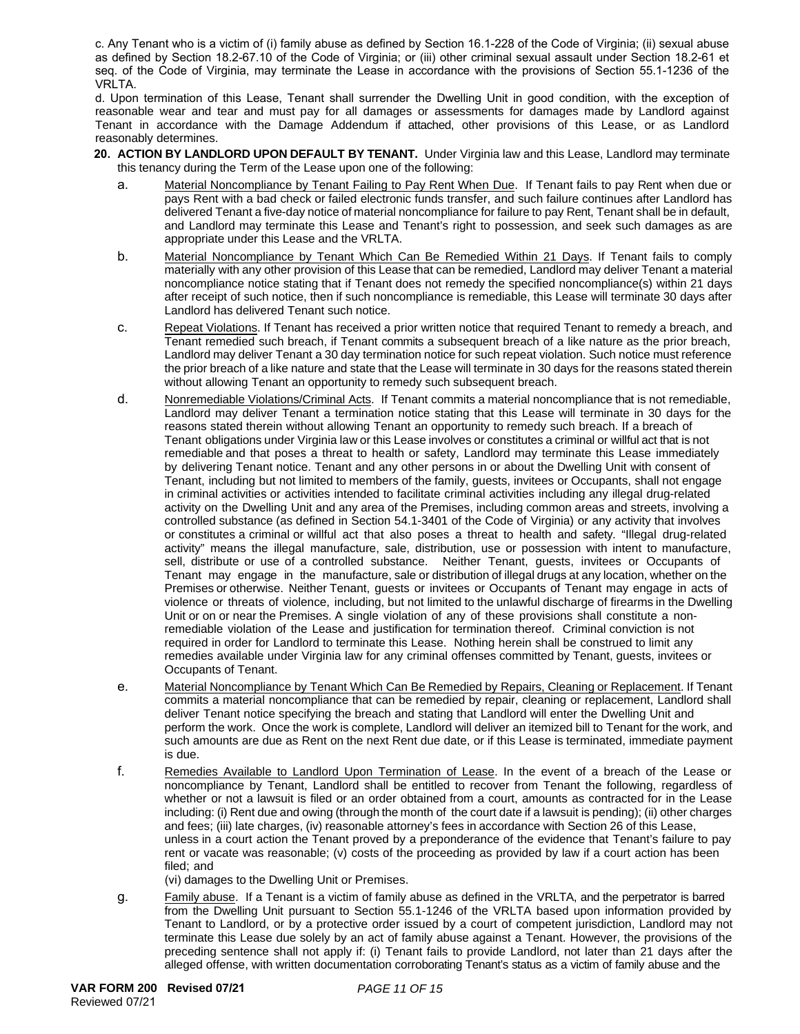c. Any Tenant who is a victim of (i) family abuse as defined by Section 16.1-228 of the Code of Virginia; (ii) sexual abuse as defined by Section 18.2-67.10 of the Code of Virginia; or (iii) other criminal sexual assault under Section 18.2-61 et seq. of the Code of Virginia, may terminate the Lease in accordance with the provisions of Section 55.1-1236 of the VRLTA.

d. Upon termination of this Lease, Tenant shall surrender the Dwelling Unit in good condition, with the exception of reasonable wear and tear and must pay for all damages or assessments for damages made by Landlord against Tenant in accordance with the Damage Addendum if attached, other provisions of this Lease, or as Landlord reasonably determines.

- **20. ACTION BY LANDLORD UPON DEFAULT BY TENANT.** Under Virginia law and this Lease, Landlord may terminate this tenancy during the Term of the Lease upon one of the following:
	- a. Material Noncompliance by Tenant Failing to Pay Rent When Due. If Tenant fails to pay Rent when due or pays Rent with a bad check or failed electronic funds transfer, and such failure continues after Landlord has delivered Tenant a five-day notice of material noncompliance for failure to pay Rent, Tenant shall be in default, and Landlord may terminate this Lease and Tenant's right to possession, and seek such damages as are appropriate under this Lease and the VRLTA.
	- b. Material Noncompliance by Tenant Which Can Be Remedied Within 21 Days. If Tenant fails to comply materially with any other provision of this Lease that can be remedied, Landlord may deliver Tenant a material noncompliance notice stating that if Tenant does not remedy the specified noncompliance(s) within 21 days after receipt of such notice, then if such noncompliance is remediable, this Lease will terminate 30 days after Landlord has delivered Tenant such notice.
	- c. Repeat Violations. If Tenant has received a prior written notice that required Tenant to remedy a breach, and Tenant remedied such breach, if Tenant commits a subsequent breach of a like nature as the prior breach, Landlord may deliver Tenant a 30 day termination notice for such repeat violation. Such notice must reference the prior breach of a like nature and state that the Lease will terminate in 30 days for the reasons stated therein without allowing Tenant an opportunity to remedy such subsequent breach.
	- d. Nonremediable Violations/Criminal Acts. If Tenant commits a material noncompliance that is not remediable, Landlord may deliver Tenant a termination notice stating that this Lease will terminate in 30 days for the reasons stated therein without allowing Tenant an opportunity to remedy such breach. If a breach of Tenant obligations under Virginia law or this Lease involves or constitutes a criminal or willful act that is not remediable and that poses a threat to health or safety, Landlord may terminate this Lease immediately by delivering Tenant notice. Tenant and any other persons in or about the Dwelling Unit with consent of Tenant, including but not limited to members of the family, guests, invitees or Occupants, shall not engage in criminal activities or activities intended to facilitate criminal activities including any illegal drug-related activity on the Dwelling Unit and any area of the Premises, including common areas and streets, involving a controlled substance (as defined in Section 54.1-3401 of the Code of Virginia) or any activity that involves or constitutes a criminal or willful act that also poses a threat to health and safety. "Illegal drug-related activity" means the illegal manufacture, sale, distribution, use or possession with intent to manufacture, sell, distribute or use of a controlled substance. Neither Tenant, guests, invitees or Occupants of Tenant may engage in the manufacture, sale or distribution of illegal drugs at any location, whether on the Premises or otherwise. Neither Tenant, guests or invitees or Occupants of Tenant may engage in acts of violence or threats of violence, including, but not limited to the unlawful discharge of firearms in the Dwelling Unit or on or near the Premises. A single violation of any of these provisions shall constitute a nonremediable violation of the Lease and justification for termination thereof. Criminal conviction is not required in order for Landlord to terminate this Lease. Nothing herein shall be construed to limit any remedies available under Virginia law for any criminal offenses committed by Tenant, guests, invitees or Occupants of Tenant.
	- e. Material Noncompliance by Tenant Which Can Be Remedied by Repairs, Cleaning or Replacement. If Tenant commits a material noncompliance that can be remedied by repair, cleaning or replacement, Landlord shall deliver Tenant notice specifying the breach and stating that Landlord will enter the Dwelling Unit and perform the work. Once the work is complete, Landlord will deliver an itemized bill to Tenant for the work, and such amounts are due as Rent on the next Rent due date, or if this Lease is terminated, immediate payment is due.
	- f. Remedies Available to Landlord Upon Termination of Lease. In the event of a breach of the Lease or noncompliance by Tenant, Landlord shall be entitled to recover from Tenant the following, regardless of whether or not a lawsuit is filed or an order obtained from a court, amounts as contracted for in the Lease including: (i) Rent due and owing (through the month of the court date if a lawsuit is pending); (ii) other charges and fees; (iii) late charges, (iv) reasonable attorney's fees in accordance with Section 26 of this Lease, unless in a court action the Tenant proved by a preponderance of the evidence that Tenant's failure to pay rent or vacate was reasonable; (v) costs of the proceeding as provided by law if a court action has been filed; and

(vi) damages to the Dwelling Unit or Premises.

g. Family abuse. If a Tenant is a victim of family abuse as defined in the VRLTA, and the perpetrator is barred from the Dwelling Unit pursuant to Section 55.1-1246 of the VRLTA based upon information provided by Tenant to Landlord, or by a protective order issued by a court of competent jurisdiction, Landlord may not terminate this Lease due solely by an act of family abuse against a Tenant. However, the provisions of the preceding sentence shall not apply if: (i) Tenant fails to provide Landlord, not later than 21 days after the alleged offense, with written documentation corroborating Tenant's status as a victim of family abuse and the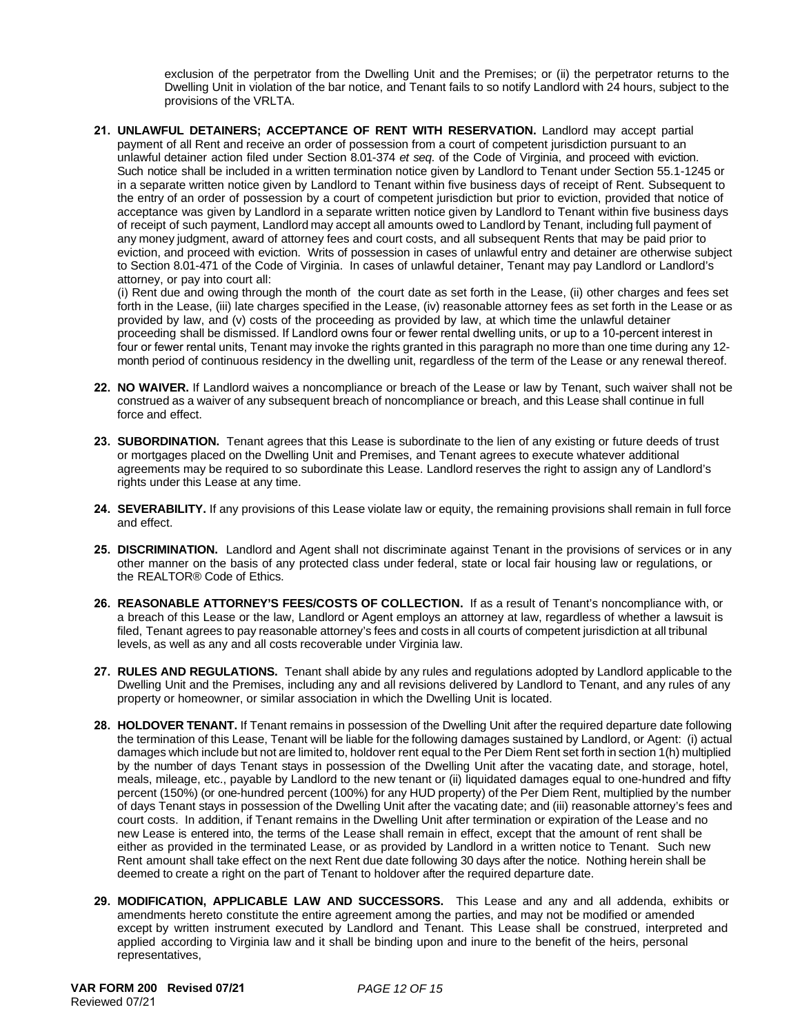exclusion of the perpetrator from the Dwelling Unit and the Premises; or (ii) the perpetrator returns to the Dwelling Unit in violation of the bar notice, and Tenant fails to so notify Landlord with 24 hours, subject to the provisions of the VRLTA.

**21. UNLAWFUL DETAINERS; ACCEPTANCE OF RENT WITH RESERVATION.** Landlord may accept partial payment of all Rent and receive an order of possession from a court of competent jurisdiction pursuant to an unlawful detainer action filed under Section 8.01-374 *et seq*. of the Code of Virginia, and proceed with eviction. Such notice shall be included in a written termination notice given by Landlord to Tenant under Section 55.1-1245 or in a separate written notice given by Landlord to Tenant within five business days of receipt of Rent. Subsequent to the entry of an order of possession by a court of competent jurisdiction but prior to eviction, provided that notice of acceptance was given by Landlord in a separate written notice given by Landlord to Tenant within five business days of receipt of such payment, Landlord may accept all amounts owed to Landlord by Tenant, including full payment of any money judgment, award of attorney fees and court costs, and all subsequent Rents that may be paid prior to eviction, and proceed with eviction. Writs of possession in cases of unlawful entry and detainer are otherwise subject to Section 8.01-471 of the Code of Virginia. In cases of unlawful detainer, Tenant may pay Landlord or Landlord's attorney, or pay into court all:

(i) Rent due and owing through the month of the court date as set forth in the Lease, (ii) other charges and fees set forth in the Lease, (iii) late charges specified in the Lease, (iv) reasonable attorney fees as set forth in the Lease or as provided by law, and (v) costs of the proceeding as provided by law, at which time the unlawful detainer proceeding shall be dismissed. If Landlord owns four or fewer rental dwelling units, or up to a 10-percent interest in four or fewer rental units, Tenant may invoke the rights granted in this paragraph no more than one time during any 12 month period of continuous residency in the dwelling unit, regardless of the term of the Lease or any renewal thereof.

- **22. NO WAIVER.** If Landlord waives a noncompliance or breach of the Lease or law by Tenant, such waiver shall not be construed as a waiver of any subsequent breach of noncompliance or breach, and this Lease shall continue in full force and effect.
- **23. SUBORDINATION.** Tenant agrees that this Lease is subordinate to the lien of any existing or future deeds of trust or mortgages placed on the Dwelling Unit and Premises, and Tenant agrees to execute whatever additional agreements may be required to so subordinate this Lease. Landlord reserves the right to assign any of Landlord's rights under this Lease at any time.
- **24. SEVERABILITY.** If any provisions of this Lease violate law or equity, the remaining provisions shall remain in full force and effect.
- **25. DISCRIMINATION.** Landlord and Agent shall not discriminate against Tenant in the provisions of services or in any other manner on the basis of any protected class under federal, state or local fair housing law or regulations, or the REALTOR® Code of Ethics.
- **26. REASONABLE ATTORNEY'S FEES/COSTS OF COLLECTION.** If as a result of Tenant's noncompliance with, or a breach of this Lease or the law, Landlord or Agent employs an attorney at law, regardless of whether a lawsuit is filed, Tenant agrees to pay reasonable attorney's fees and costs in all courts of competent jurisdiction at all tribunal levels, as well as any and all costs recoverable under Virginia law.
- **27. RULES AND REGULATIONS.** Tenant shall abide by any rules and regulations adopted by Landlord applicable to the Dwelling Unit and the Premises, including any and all revisions delivered by Landlord to Tenant, and any rules of any property or homeowner, or similar association in which the Dwelling Unit is located.
- **28. HOLDOVER TENANT.** If Tenant remains in possession of the Dwelling Unit after the required departure date following the termination of this Lease, Tenant will be liable for the following damages sustained by Landlord, or Agent: (i) actual damages which include but not are limited to, holdover rent equal to the Per Diem Rent set forth in section 1(h) multiplied by the number of days Tenant stays in possession of the Dwelling Unit after the vacating date, and storage, hotel, meals, mileage, etc., payable by Landlord to the new tenant or (ii) liquidated damages equal to one-hundred and fifty percent (150%) (or one-hundred percent (100%) for any HUD property) of the Per Diem Rent, multiplied by the number of days Tenant stays in possession of the Dwelling Unit after the vacating date; and (iii) reasonable attorney's fees and court costs. In addition, if Tenant remains in the Dwelling Unit after termination or expiration of the Lease and no new Lease is entered into, the terms of the Lease shall remain in effect, except that the amount of rent shall be either as provided in the terminated Lease, or as provided by Landlord in a written notice to Tenant. Such new Rent amount shall take effect on the next Rent due date following 30 days after the notice. Nothing herein shall be deemed to create a right on the part of Tenant to holdover after the required departure date.
- **29. MODIFICATION, APPLICABLE LAW AND SUCCESSORS.** This Lease and any and all addenda, exhibits or amendments hereto constitute the entire agreement among the parties, and may not be modified or amended except by written instrument executed by Landlord and Tenant. This Lease shall be construed, interpreted and applied according to Virginia law and it shall be binding upon and inure to the benefit of the heirs, personal representatives,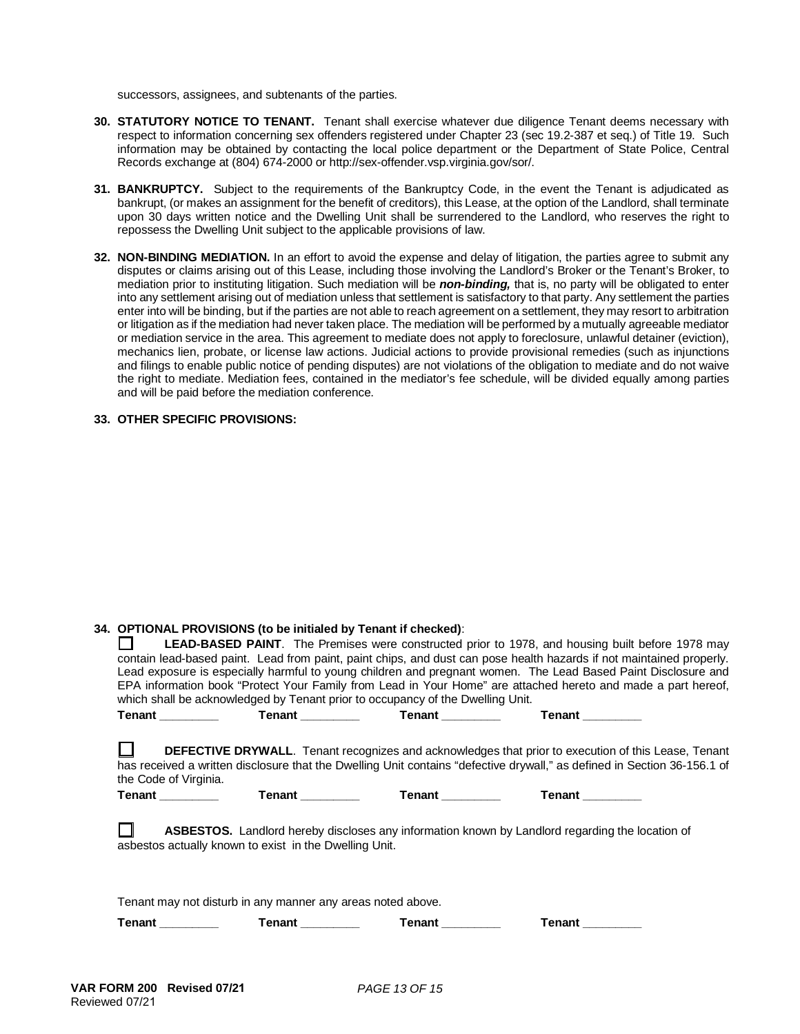successors, assignees, and subtenants of the parties.

- **30. STATUTORY NOTICE TO TENANT.** Tenant shall exercise whatever due diligence Tenant deems necessary with respect to information concerning sex offenders registered under Chapter 23 (sec 19.2-387 et seq.) of Title 19. Such information may be obtained by contacting the local police department or the Department of State Police, Central Records exchange at (804) 674-2000 or http://sex-offender.vsp.virginia.gov/sor/.
- **31. BANKRUPTCY.** Subject to the requirements of the Bankruptcy Code, in the event the Tenant is adjudicated as bankrupt, (or makes an assignment for the benefit of creditors), this Lease, at the option of the Landlord, shall terminate upon 30 days written notice and the Dwelling Unit shall be surrendered to the Landlord, who reserves the right to repossess the Dwelling Unit subject to the applicable provisions of law.
- **32. NON-BINDING MEDIATION.** In an effort to avoid the expense and delay of litigation, the parties agree to submit any disputes or claims arising out of this Lease, including those involving the Landlord's Broker or the Tenant's Broker, to mediation prior to instituting litigation. Such mediation will be *non-binding,* that is, no party will be obligated to enter into any settlement arising out of mediation unless that settlement is satisfactory to that party. Any settlement the parties enter into will be binding, but if the parties are not able to reach agreement on a settlement, they may resort to arbitration or litigation as if the mediation had never taken place. The mediation will be performed by a mutually agreeable mediator or mediation service in the area. This agreement to mediate does not apply to foreclosure, unlawful detainer (eviction), mechanics lien, probate, or license law actions. Judicial actions to provide provisional remedies (such as injunctions and filings to enable public notice of pending disputes) are not violations of the obligation to mediate and do not waive the right to mediate. Mediation fees, contained in the mediator's fee schedule, will be divided equally among parties and will be paid before the mediation conference.

#### **33. OTHER SPECIFIC PROVISIONS:**

### **34. OPTIONAL PROVISIONS (to be initialed by Tenant if checked)**:

|                                                             | which shall be acknowledged by Tenant prior to occupancy of the Dwelling Unit. |                             | <b>LEAD-BASED PAINT</b> . The Premises were constructed prior to 1978, and housing built before 1978 may<br>contain lead-based paint. Lead from paint, paint chips, and dust can pose health hazards if not maintained properly.<br>Lead exposure is especially harmful to young children and pregnant women. The Lead Based Paint Disclosure and<br>EPA information book "Protect Your Family from Lead in Your Home" are attached hereto and made a part hereof, |  |  |  |
|-------------------------------------------------------------|--------------------------------------------------------------------------------|-----------------------------|--------------------------------------------------------------------------------------------------------------------------------------------------------------------------------------------------------------------------------------------------------------------------------------------------------------------------------------------------------------------------------------------------------------------------------------------------------------------|--|--|--|
|                                                             | Tenant Tenant Tenant Tenant Tenant Tenant                                      |                             | <b>Tenant Contract 1997</b>                                                                                                                                                                                                                                                                                                                                                                                                                                        |  |  |  |
| the Code of Virginia.                                       |                                                                                |                             | <b>DEFECTIVE DRYWALL.</b> Tenant recognizes and acknowledges that prior to execution of this Lease, Tenant<br>has received a written disclosure that the Dwelling Unit contains "defective drywall," as defined in Section 36-156.1 of                                                                                                                                                                                                                             |  |  |  |
|                                                             | Tenant _________   Tenant _________   Tenant _________                         |                             | <b>Tenant Contract 1997</b>                                                                                                                                                                                                                                                                                                                                                                                                                                        |  |  |  |
|                                                             | asbestos actually known to exist in the Dwelling Unit.                         |                             | ASBESTOS. Landlord hereby discloses any information known by Landlord regarding the location of                                                                                                                                                                                                                                                                                                                                                                    |  |  |  |
| Tenant may not disturb in any manner any areas noted above. |                                                                                |                             |                                                                                                                                                                                                                                                                                                                                                                                                                                                                    |  |  |  |
|                                                             | Tenant ____________  Tenant __________                                         | <b>Tenant Contract 1997</b> | <b>Tenant</b>                                                                                                                                                                                                                                                                                                                                                                                                                                                      |  |  |  |
|                                                             |                                                                                |                             |                                                                                                                                                                                                                                                                                                                                                                                                                                                                    |  |  |  |
|                                                             |                                                                                |                             |                                                                                                                                                                                                                                                                                                                                                                                                                                                                    |  |  |  |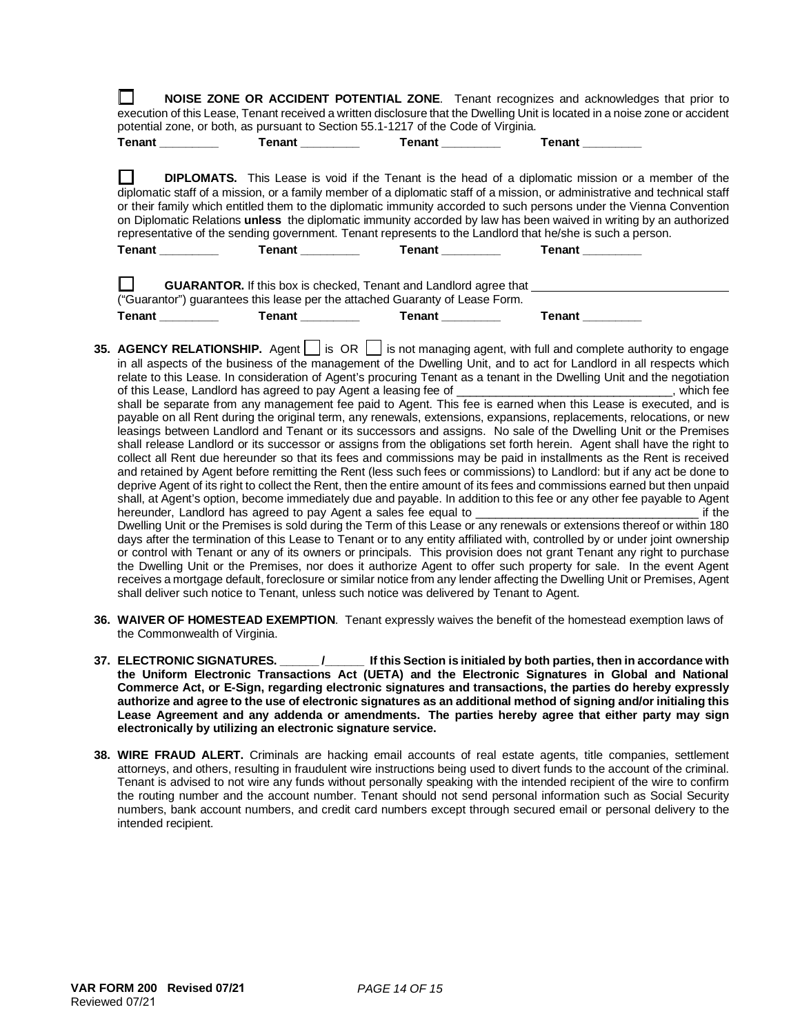| NOISE ZONE OR ACCIDENT POTENTIAL ZONE. Tenant recognizes and acknowledges that prior to<br>execution of this Lease, Tenant received a written disclosure that the Dwelling Unit is located in a noise zone or accident<br>potential zone, or both, as pursuant to Section 55.1-1217 of the Code of Virginia. |                                       |                                                                                                                                                          |                                                                                                                                                                                                                                                                                                                                                                                                                                                                                                                                                                                                                                                                                                                                                                                                                                                                                                                                                                                                                                                                                                                                                                                                                                                                                                                                                                                       |
|--------------------------------------------------------------------------------------------------------------------------------------------------------------------------------------------------------------------------------------------------------------------------------------------------------------|---------------------------------------|----------------------------------------------------------------------------------------------------------------------------------------------------------|---------------------------------------------------------------------------------------------------------------------------------------------------------------------------------------------------------------------------------------------------------------------------------------------------------------------------------------------------------------------------------------------------------------------------------------------------------------------------------------------------------------------------------------------------------------------------------------------------------------------------------------------------------------------------------------------------------------------------------------------------------------------------------------------------------------------------------------------------------------------------------------------------------------------------------------------------------------------------------------------------------------------------------------------------------------------------------------------------------------------------------------------------------------------------------------------------------------------------------------------------------------------------------------------------------------------------------------------------------------------------------------|
| <b>Tenant</b>                                                                                                                                                                                                                                                                                                |                                       | Tenant ___________ Tenant ________                                                                                                                       | Tenant                                                                                                                                                                                                                                                                                                                                                                                                                                                                                                                                                                                                                                                                                                                                                                                                                                                                                                                                                                                                                                                                                                                                                                                                                                                                                                                                                                                |
|                                                                                                                                                                                                                                                                                                              |                                       |                                                                                                                                                          | <b>DIPLOMATS.</b> This Lease is void if the Tenant is the head of a diplomatic mission or a member of the<br>diplomatic staff of a mission, or a family member of a diplomatic staff of a mission, or administrative and technical staff<br>or their family which entitled them to the diplomatic immunity accorded to such persons under the Vienna Convention<br>on Diplomatic Relations unless the diplomatic immunity accorded by law has been waived in writing by an authorized<br>representative of the sending government. Tenant represents to the Landlord that he/she is such a person.                                                                                                                                                                                                                                                                                                                                                                                                                                                                                                                                                                                                                                                                                                                                                                                    |
| <b>Tenant</b>                                                                                                                                                                                                                                                                                                |                                       | Tenant _____________  Tenant __________                                                                                                                  | <b>Tenant</b>                                                                                                                                                                                                                                                                                                                                                                                                                                                                                                                                                                                                                                                                                                                                                                                                                                                                                                                                                                                                                                                                                                                                                                                                                                                                                                                                                                         |
| <b>Tenant Company</b>                                                                                                                                                                                                                                                                                        | Tenant ____________  Tenant _________ | <b>GUARANTOR.</b> If this box is checked, Tenant and Landlord agree that<br>("Guarantor") guarantees this lease per the attached Guaranty of Lease Form. | <b>Tenant</b>                                                                                                                                                                                                                                                                                                                                                                                                                                                                                                                                                                                                                                                                                                                                                                                                                                                                                                                                                                                                                                                                                                                                                                                                                                                                                                                                                                         |
|                                                                                                                                                                                                                                                                                                              |                                       |                                                                                                                                                          | 35. AGENCY RELATIONSHIP. Agent $\bigsqcup$ is OR $\bigsqcup$ is not managing agent, with full and complete authority to engage<br>in all aspects of the business of the management of the Dwelling Unit, and to act for Landlord in all respects which<br>relate to this Lease. In consideration of Agent's procuring Tenant as a tenant in the Dwelling Unit and the negotiation<br>shall be separate from any management fee paid to Agent. This fee is earned when this Lease is executed, and is<br>payable on all Rent during the original term, any renewals, extensions, expansions, replacements, relocations, or new<br>leasings between Landlord and Tenant or its successors and assigns. No sale of the Dwelling Unit or the Premises<br>shall release Landlord or its successor or assigns from the obligations set forth herein. Agent shall have the right to<br>collect all Rent due hereunder so that its fees and commissions may be paid in installments as the Rent is received<br>and retained by Agent before remitting the Rent (less such fees or commissions) to Landlord: but if any act be done to<br>deprive Agent of its right to collect the Rent, then the entire amount of its fees and commissions earned but then unpaid<br>shall, at Agent's option, become immediately due and payable. In addition to this fee or any other fee payable to Agent |

hereunder, Landlord has agreed to pay Agent a sales fee equal to \_\_\_\_\_\_\_\_\_\_\_\_\_\_\_\_\_\_\_\_\_\_\_\_\_\_\_\_\_\_\_\_\_\_ if the Dwelling Unit or the Premises is sold during the Term of this Lease or any renewals or extensions thereof or within 180 days after the termination of this Lease to Tenant or to any entity affiliated with, controlled by or under joint ownership or control with Tenant or any of its owners or principals. This provision does not grant Tenant any right to purchase the Dwelling Unit or the Premises, nor does it authorize Agent to offer such property for sale. In the event Agent receives a mortgage default, foreclosure or similar notice from any lender affecting the Dwelling Unit or Premises, Agent shall deliver such notice to Tenant, unless such notice was delivered by Tenant to Agent.

- **36. WAIVER OF HOMESTEAD EXEMPTION**. Tenant expressly waives the benefit of the homestead exemption laws of the Commonwealth of Virginia.
- **37. ELECTRONIC SIGNATURES. \_\_\_\_\_\_ /\_\_\_\_\_\_ If this Section is initialed by both parties, then in accordance with the Uniform Electronic Transactions Act (UETA) and the Electronic Signatures in Global and National Commerce Act, or E-Sign, regarding electronic signatures and transactions, the parties do hereby expressly authorize and agree to the use of electronic signatures as an additional method of signing and/or initialing this Lease Agreement and any addenda or amendments. The parties hereby agree that either party may sign electronically by utilizing an electronic signature service.**
- **38. WIRE FRAUD ALERT.** Criminals are hacking email accounts of real estate agents, title companies, settlement attorneys, and others, resulting in fraudulent wire instructions being used to divert funds to the account of the criminal. Tenant is advised to not wire any funds without personally speaking with the intended recipient of the wire to confirm the routing number and the account number. Tenant should not send personal information such as Social Security numbers, bank account numbers, and credit card numbers except through secured email or personal delivery to the intended recipient.